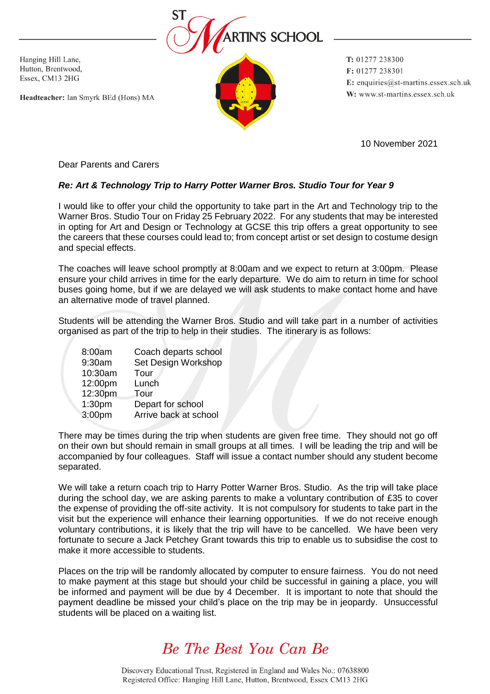

Hanging Hill Lane, Hutton, Brentwood, Essex, CM13 2HG

Headteacher: Ian Smyrk BEd (Hons) MA

T: 01277 238300 F: 01277 238301 E: enquiries@st-martins.essex.sch.uk W: www.st-martins.essex.sch.uk

10 November 2021

Dear Parents and Carers

## *Re: Art & Technology Trip to Harry Potter Warner Bros. Studio Tour for Year 9*

I would like to offer your child the opportunity to take part in the Art and Technology trip to the Warner Bros. Studio Tour on Friday 25 February 2022. For any students that may be interested in opting for Art and Design or Technology at GCSE this trip offers a great opportunity to see the careers that these courses could lead to; from concept artist or set design to costume design and special effects.

The coaches will leave school promptly at 8:00am and we expect to return at 3:00pm. Please ensure your child arrives in time for the early departure. We do aim to return in time for school buses going home, but if we are delayed we will ask students to make contact home and have an alternative mode of travel planned.

Students will be attending the Warner Bros. Studio and will take part in a number of activities organised as part of the trip to help in their studies. The itinerary is as follows:

| 8:00am  | Coach departs school  |
|---------|-----------------------|
| 9:30am  | Set Design Workshop   |
| 10:30am | Tour                  |
| 12:00pm | Lunch                 |
| 12:30pm | Tour                  |
| 1:30pm  | Depart for school     |
| 3:00pm  | Arrive back at school |

There may be times during the trip when students are given free time. They should not go off on their own but should remain in small groups at all times. I will be leading the trip and will be accompanied by four colleagues. Staff will issue a contact number should any student become separated.

We will take a return coach trip to Harry Potter Warner Bros. Studio. As the trip will take place during the school day, we are asking parents to make a voluntary contribution of £35 to cover the expense of providing the off-site activity. It is not compulsory for students to take part in the visit but the experience will enhance their learning opportunities. If we do not receive enough voluntary contributions, it is likely that the trip will have to be cancelled. We have been very fortunate to secure a Jack Petchey Grant towards this trip to enable us to subsidise the cost to make it more accessible to students.

Places on the trip will be randomly allocated by computer to ensure fairness. You do not need to make payment at this stage but should your child be successful in gaining a place, you will be informed and payment will be due by 4 December. It is important to note that should the payment deadline be missed your child's place on the trip may be in jeopardy. Unsuccessful students will be placed on a waiting list.

## Be The Best You Can Be

Discovery Educational Trust, Registered in England and Wales No.: 07638800 Registered Office: Hanging Hill Lane, Hutton, Brentwood, Essex CM13 2HG